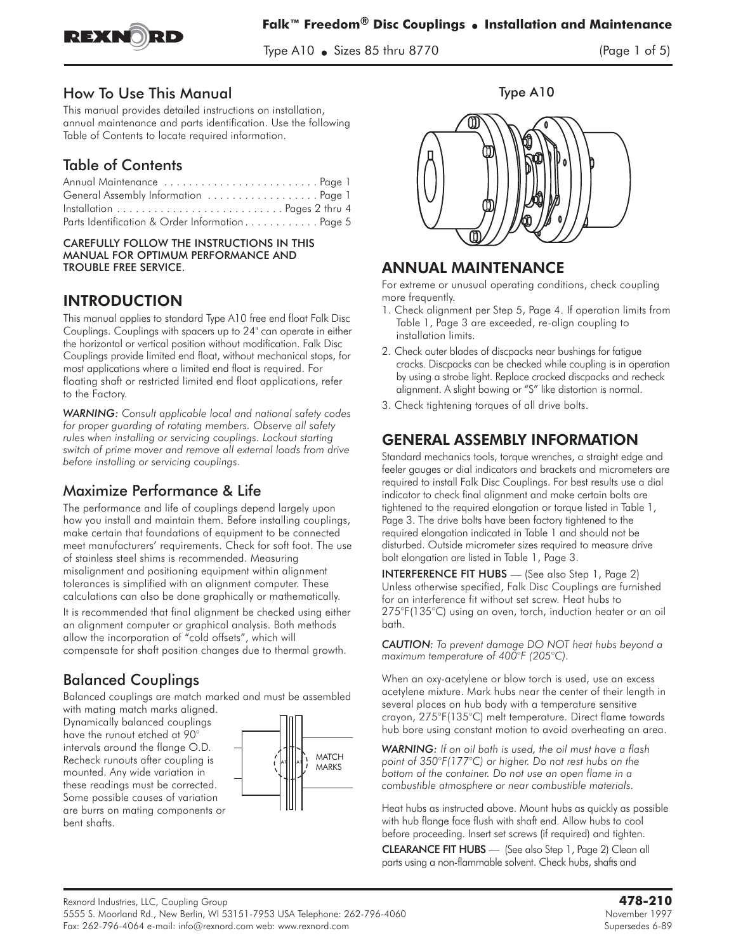

Type A10  $\bullet$  Sizes 85 thru 8770  $\frac{1}{2}$  the state state  $\frac{1}{2}$ 

#### How To Use This Manual

This manual provides detailed instructions on installation, annual maintenance and parts identification. Use the following Table of Contents to locate required information.

# Table of Contents

| General Assembly Information  Page 1            |  |
|-------------------------------------------------|--|
|                                                 |  |
| Parts Identification & Order Information Page 5 |  |

#### CAREFULLY FOLLOW THE INSTRUCTIONS IN THIS MANUAL FOR OPTIMUM PERFORMANCE AND TROUBLE FREE SERVICE.

### INTRODUCTION

This manual applies to standard Type A10 free end float Falk Disc Couplings. Couplings with spacers up to 24" can operate in either the horizontal or vertical position without modification. Falk Disc Couplings provide limited end float, without mechanical stops, for most applications where a limited end float is required. For floating shaft or restricted limited end float applications, refer to the Factory.

*WARNING: Consult applicable local and national safety codes for proper guarding of rotating members. Observe all safety rules when installing or servicing couplings. Lockout starting switch of prime mover and remove all external loads from drive before installing or servicing couplings.*

## Maximize Performance & Life

The performance and life of couplings depend largely upon how you install and maintain them. Before installing couplings, make certain that foundations of equipment to be connected meet manufacturers' requirements. Check for soft foot. The use of stainless steel shims is recommended. Measuring misalignment and positioning equipment within alignment tolerances is simplified with an alignment computer. These calculations can also be done graphically or mathematically.

It is recommended that final alignment be checked using either an alignment computer or graphical analysis. Both methods allow the incorporation of "cold offsets", which will compensate for shaft position changes due to thermal growth.

## Balanced Couplings

Balanced couplings are match marked and must be assembled with mating match marks aligned.

Dynamically balanced couplings have the runout etched at 90° intervals around the flange O.D. Recheck runouts after coupling is mounted. Any wide variation in these readings must be corrected. Some possible causes of variation are burrs on mating components or bent shafts.







### ANNUAL MAINTENANCE

For extreme or unusual operating conditions, check coupling more frequently.

- 1. Check alignment per Step 5, Page 4. If operation limits from Table 1, Page 3 are exceeded, re-align coupling to installation limits.
- 2. Check outer blades of discpacks near bushings for fatigue cracks. Discpacks can be checked while coupling is in operation by using a strobe light. Replace cracked discpacks and recheck alignment. A slight bowing or "S" like distortion is normal.
- 3. Check tightening torques of all drive bolts.

### GENERAL ASSEMBLY INFORMATION

Standard mechanics tools, torque wrenches, a straight edge and feeler gauges or dial indicators and brackets and micrometers are required to install Falk Disc Couplings. For best results use a dial indicator to check final alignment and make certain bolts are tightened to the required elongation or torque listed in Table 1, Page 3. The drive bolts have been factory tightened to the required elongation indicated in Table 1 and should not be disturbed. Outside micrometer sizes required to measure drive bolt elongation are listed in Table 1, Page 3.

INTERFERENCE FIT HUBS **—** (See also Step 1, Page 2) Unless otherwise specified, Falk Disc Couplings are furnished for an interference fit without set screw. Heat hubs to 275°F(135°C) using an oven, torch, induction heater or an oil bath.

*CAUTION: To prevent damage DO NOT heat hubs beyond a maximum temperature of 400°F (205°C).*

When an oxy-acetylene or blow torch is used, use an excess acetylene mixture. Mark hubs near the center of their length in several places on hub body with a temperature sensitive crayon, 275°F(135°C) melt temperature. Direct flame towards hub bore using constant motion to avoid overheating an area.

*WARNING: If on oil bath is used, the oil must have a flash point of 350°F(177°C) or higher. Do not rest hubs on the bottom of the container. Do not use an open flame in a combustible atmosphere or near combustible materials.*

Heat hubs as instructed above. Mount hubs as quickly as possible with hub flange face flush with shaft end. Allow hubs to cool before proceeding. Insert set screws (if required) and tighten.

CLEARANCE FIT HUBS — (See also Step 1, Page 2) Clean all parts using a non-flammable solvent. Check hubs, shafts and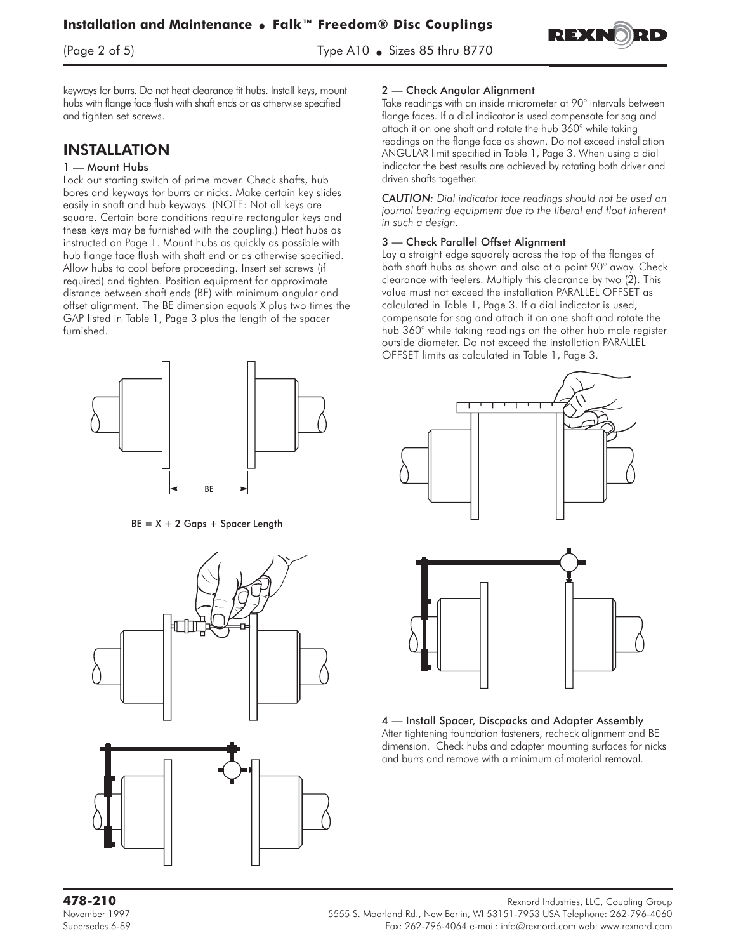$(\text{Page 2 of 5})$  Type A10  $\bullet$ 

size 85 thru 87 thru 87

keyways for burrs. Do not heat clearance fit hubs. Install keys, mount hubs with flange face flush with shaft ends or as otherwise specified

### INSTALLATION

and tighten set screws.

#### 1 — Mount Hubs

Lock out starting switch of prime mover. Check shafts, hub bores and keyways for burrs or nicks. Make certain key slides easily in shaft and hub keyways. (NOTE: Not all keys are square. Certain bore conditions require rectangular keys and these keys may be furnished with the coupling.) Heat hubs as instructed on Page 1. Mount hubs as quickly as possible with hub flange face flush with shaft end or as otherwise specified. Allow hubs to cool before proceeding. Insert set screws (if required) and tighten. Position equipment for approximate distance between shaft ends (BE) with minimum angular and offset alignment. The BE dimension equals X plus two times the GAP listed in Table 1, Page 3 plus the length of the spacer furnished.



 $BE = X + 2 Gaps + Space Length$ 



#### 2 — Check Angular Alignment

Take readings with an inside micrometer at 90° intervals between flange faces. If a dial indicator is used compensate for sag and attach it on one shaft and rotate the hub 360° while taking readings on the flange face as shown. Do not exceed installation ANGULAR limit specified in Table 1, Page 3. When using a dial indicator the best results are achieved by rotating both driver and driven shafts together.

REXR

*CAUTION: Dial indicator face readings should not be used on journal bearing equipment due to the liberal end float inherent in such a design.*

#### 3 — Check Parallel Offset Alignment

Lay a straight edge squarely across the top of the flanges of both shaft hubs as shown and also at a point 90° away. Check clearance with feelers. Multiply this clearance by two (2). This value must not exceed the installation PARALLEL OFFSET as calculated in Table 1, Page 3. If a dial indicator is used, compensate for sag and attach it on one shaft and rotate the hub 360° while taking readings on the other hub male register outside diameter. Do not exceed the installation PARALLEL OFFSET limits as calculated in Table 1, Page 3.



4 — Install Spacer, Discpacks and Adapter Assembly After tightening foundation fasteners, recheck alignment and BE dimension. Check hubs and adapter mounting surfaces for nicks and burrs and remove with a minimum of material removal.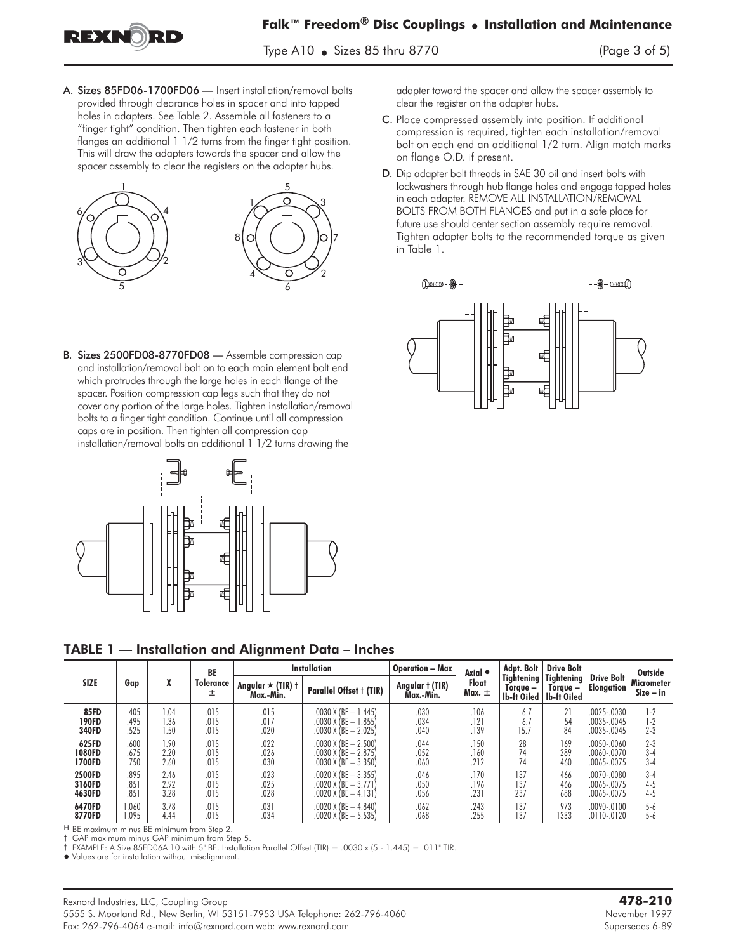

Type A10  $\bullet$  Sizes 85 thru 8770  $\frac{1}{2}$  the state state  $\frac{1}{2}$ 

A. Sizes 85FD06-1700FD06 — Insert installation/removal bolts provided through clearance holes in spacer and into tapped holes in adapters. See Table 2. Assemble all fasteners to a "finger tight" condition. Then tighten each fastener in both flanges an additional 1 1/2 turns from the finger tight position. This will draw the adapters towards the spacer and allow the spacer assembly to clear the registers on the adapter hubs.



B. Sizes 2500FD08-8770FD08 — Assemble compression cap and installation/removal bolt on to each main element bolt end which protrudes through the large holes in each flange of the spacer. Position compression cap legs such that they do not cover any portion of the large holes. Tighten installation/removal bolts to a finger tight condition. Continue until all compression caps are in position. Then tighten all compression cap installation/removal bolts an additional 1 1/2 turns drawing the



adapter toward the spacer and allow the spacer assembly to clear the register on the adapter hubs.

- C. Place compressed assembly into position. If additional compression is required, tighten each installation/removal bolt on each end an additional 1/2 turn. Align match marks on flange O.D. if present.
- D. Dip adapter bolt threads in SAE 30 oil and insert bolts with lockwashers through hub flange holes and engage tapped holes in each adapter. REMOVE ALL INSTALLATION/REMOVAL BOLTS FROM BOTH FLANGES and put in a safe place for future use should center section assembly require removal. Tighten adapter bolts to the recommended torque as given in Table 1.



TABLE 1 — Installation and Alignment Data – Inches

|             |      |      | BE                    | <b>Installation</b>                          |                                | <b>Operation - Max</b>       | Axial •             | Adpt. Bolt                            | <b>Drive Bolt</b>                            |                                        | Outside                          |
|-------------|------|------|-----------------------|----------------------------------------------|--------------------------------|------------------------------|---------------------|---------------------------------------|----------------------------------------------|----------------------------------------|----------------------------------|
| <b>SIZE</b> | Gap  | X    | <b>Tolerance</b><br>土 | Angular $\star$ (TIR) $\dagger$<br>Max.-Min. | <b>Parallel Offset # (TIR)</b> | Angular † (TIR)<br>Max.-Min. | Float<br>Max. $\pm$ | Tightening<br>Torque —<br>lb-ft Oiled | <b>Tightening</b><br>Torque –<br>lb-ft Oiled | <b>Drive Bolt</b><br><b>Elongation</b> | <b>Micrometer</b><br>$Size - in$ |
| <b>85FD</b> | .405 | 1.04 | .015                  | .015                                         | $.0030$ X (BE $- 1.445$ )      | .030                         | .106                | 6.7                                   | 21                                           | $.0025 - .0030$                        | $1-2$                            |
| 190FD       | .495 | 1.36 | .015                  | .017                                         | $.0030$ X (BE $-1.855$ )       | .034                         | .121                | 6.7                                   | 54                                           | .0035-.0045                            | $1 - 2$                          |
| 340FD       | .525 | 1.50 | .015                  | .020                                         | $.0030$ X (BE $- 2.025$ )      | .040                         | .139                | 15.7                                  | 84                                           | .0035-.0045                            | $2 - 3$                          |
| 625FD       | .600 | 1.90 | .015                  | .022                                         | $.0030$ X (BE $- 2.500$ )      | .044                         | .150                | 28                                    | 169                                          | $.0050 - .0060$                        | $2 - 3$                          |
| 1080FD      | .675 | 2.20 | .015                  | .026                                         | $.0030$ X (BE $- 2.875$ )      | .052                         | .160                | 74                                    | 289                                          | $.0060 - .0070$                        | $3 - 4$                          |
| 1700FD      | 750  | 2.60 | .015                  | .030                                         | $.0030$ X (BE $-3.350$ )       | .060                         | .212                | 74                                    | 460                                          | .0065-.0075                            | $3 - 4$                          |
| 2500FD      | 895  | 2.46 | .015                  | .023                                         | $.0020$ X (BE $-3.355$ )       | .046                         | .170                | 137                                   | 466                                          | .0070-.0080                            | $3 - 4$                          |
| 3160FD      | .851 | 2.92 | .015                  | .025                                         | $.0020$ X (BE $-3.771$ )       | .050                         | .196                | 137                                   | 466                                          | $.0065 - .0075$                        | $4 - 5$                          |
| 4630FD      | .851 | 3.28 | .015                  | .028                                         | $.0020$ X (BE $-$ 4.131)       | .056                         | .231                | 237                                   | 688                                          | .0065-.0075                            | $4 - 5$                          |
| 6470FD      | .060 | 3.78 | .015                  | .031                                         | $.0020$ X (BE $-4.840$ )       | .062                         | 243                 | 137                                   | 973                                          | $.0090 - .0100$                        | $5 - 6$                          |
| 8770FD      | .095 | 4.44 | 015                   | .034                                         | .0020 X (BE - 5.535)           | .068                         | .255                | 137                                   | 1333                                         | $.0110-.0120$                          | $5 - 6$                          |

H BE maximum minus BE minimum from Step 2.

† GAP maximum minus GAP minimum from Step 5.

‡ EXAMPLE: A Size 85FD06A 10 with 5" BE. Installation Parallel Offset (TIR) = .0030 x (5 - 1.445) = .011" TIR.

- Values are for installation without misalignment.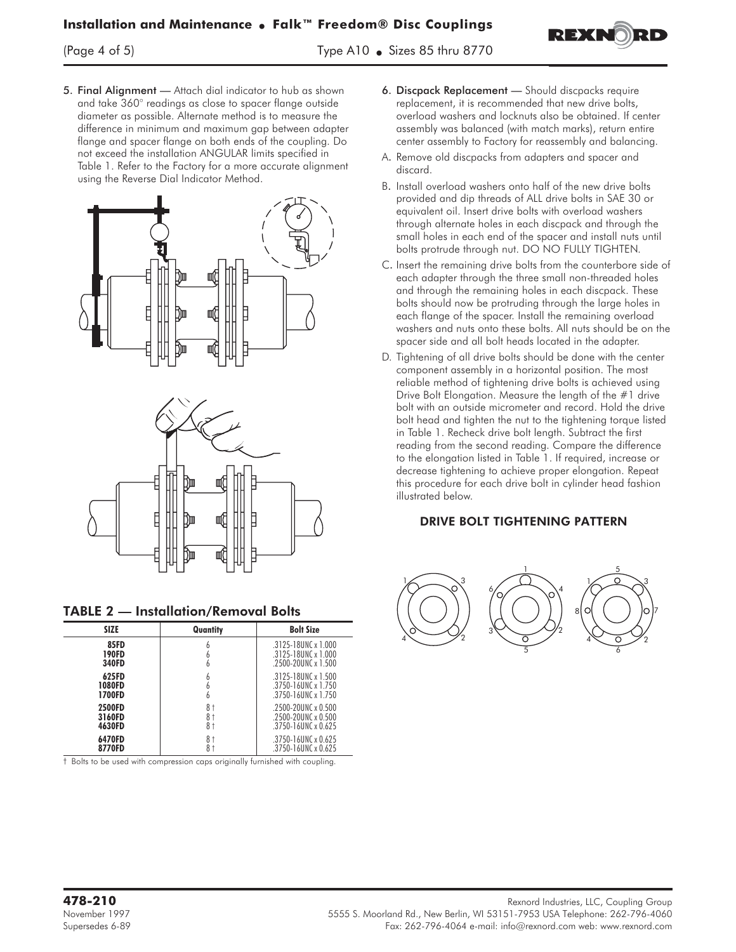5. Final Alignment - Attach dial indicator to hub as shown and take 360° readings as close to spacer flange outside diameter as possible. Alternate method is to measure the difference in minimum and maximum gap between adapter flange and spacer flange on both ends of the coupling. Do not exceed the installation ANGULAR limits specified in Table 1. Refer to the Factory for a more accurate alignment using the Reverse Dial Indicator Method.





| <b>TABLE 2 - Installation/Removal Bolts</b> |  |
|---------------------------------------------|--|
|---------------------------------------------|--|

| <b>SIZE</b>                      | Quantity       | <b>Bolt Size</b>                                                                 |
|----------------------------------|----------------|----------------------------------------------------------------------------------|
| <b>85FD</b><br>190FD<br>340FD    |                | $.3125 - 18$ UNC x 1.000<br>.3125-18UNC x 1.000<br>$.2500 - 20$ UNC x 1.500      |
| 625FD<br><b>1080FD</b><br>1700FD |                | $.3125 - 18$ UNC x 1.500<br>$.3750 - 16$ UNC x 1.750<br>$.3750 - 16$ UNC x 1.750 |
| 2500FD<br>3160FD<br>4630FD       | 8†<br>8†<br>8† | $2500 - 20$ UNC x 0.500<br>$2500 - 20$ UNC x 0.500<br>.3750-16UNC x 0.625        |
| 6470FD<br>8770FD                 | 8†             | $.3750 - 16$ UNC x 0.625<br>$.3750 - 16$ UNC x 0.625                             |

† Bolts to be used with compression caps originally furnished with coupling.

6. Discpack Replacement — Should discpacks require replacement, it is recommended that new drive bolts, overload washers and locknuts also be obtained. If center assembly was balanced (with match marks), return entire center assembly to Factory for reassembly and balancing.

REXI

- A. Remove old discpacks from adapters and spacer and discard.
- B. Install overload washers onto half of the new drive bolts provided and dip threads of ALL drive bolts in SAE 30 or equivalent oil. Insert drive bolts with overload washers through alternate holes in each discpack and through the small holes in each end of the spacer and install nuts until bolts protrude through nut. DO NO FULLY TIGHTEN.
- C. Insert the remaining drive bolts from the counterbore side of each adapter through the three small non-threaded holes and through the remaining holes in each discpack. These bolts should now be protruding through the large holes in each flange of the spacer. Install the remaining overload washers and nuts onto these bolts. All nuts should be on the spacer side and all bolt heads located in the adapter.
- D. Tightening of all drive bolts should be done with the center component assembly in a horizontal position. The most reliable method of tightening drive bolts is achieved using Drive Bolt Elongation. Measure the length of the #1 drive bolt with an outside micrometer and record. Hold the drive bolt head and tighten the nut to the tightening torque listed in Table 1. Recheck drive bolt length. Subtract the first reading from the second reading. Compare the difference to the elongation listed in Table 1. If required, increase or decrease tightening to achieve proper elongation. Repeat this procedure for each drive bolt in cylinder head fashion illustrated below.

#### DRIVE BOLT TIGHTENING PATTERN